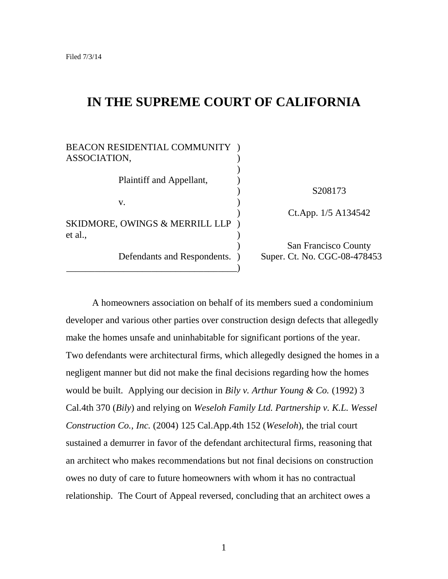# **IN THE SUPREME COURT OF CALIFORNIA**

| BEACON RESIDENTIAL COMMUNITY )<br>ASSOCIATION,       |                                                      |
|------------------------------------------------------|------------------------------------------------------|
| Plaintiff and Appellant,                             |                                                      |
| V.                                                   | S208173                                              |
| <b>SKIDMORE, OWINGS &amp; MERRILL LLP</b><br>et al., | Ct.App. 1/5 A134542                                  |
| Defendants and Respondents. )                        | San Francisco County<br>Super. Ct. No. CGC-08-478453 |

A homeowners association on behalf of its members sued a condominium developer and various other parties over construction design defects that allegedly make the homes unsafe and uninhabitable for significant portions of the year. Two defendants were architectural firms, which allegedly designed the homes in a negligent manner but did not make the final decisions regarding how the homes would be built. Applying our decision in *Bily v. Arthur Young & Co.* (1992) 3 Cal.4th 370 (*Bily*) and relying on *Weseloh Family Ltd. Partnership v. K.L. Wessel Construction Co., Inc.* (2004) 125 Cal.App.4th 152 (*Weseloh*), the trial court sustained a demurrer in favor of the defendant architectural firms, reasoning that an architect who makes recommendations but not final decisions on construction owes no duty of care to future homeowners with whom it has no contractual relationship. The Court of Appeal reversed, concluding that an architect owes a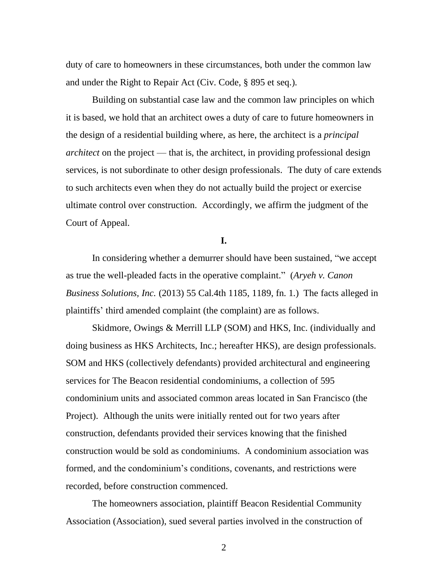duty of care to homeowners in these circumstances, both under the common law and under the Right to Repair Act (Civ. Code, § 895 et seq.).

Building on substantial case law and the common law principles on which it is based, we hold that an architect owes a duty of care to future homeowners in the design of a residential building where, as here, the architect is a *principal architect* on the project — that is, the architect, in providing professional design services, is not subordinate to other design professionals. The duty of care extends to such architects even when they do not actually build the project or exercise ultimate control over construction. Accordingly, we affirm the judgment of the Court of Appeal.

**I.**

In considering whether a demurrer should have been sustained, "we accept as true the well-pleaded facts in the operative complaint.‖ (*Aryeh v. Canon Business Solutions, Inc.* (2013) 55 Cal.4th 1185, 1189, fn. 1.) The facts alleged in plaintiffs' third amended complaint (the complaint) are as follows.

Skidmore, Owings & Merrill LLP (SOM) and HKS, Inc. (individually and doing business as HKS Architects, Inc.; hereafter HKS), are design professionals. SOM and HKS (collectively defendants) provided architectural and engineering services for The Beacon residential condominiums, a collection of 595 condominium units and associated common areas located in San Francisco (the Project). Although the units were initially rented out for two years after construction, defendants provided their services knowing that the finished construction would be sold as condominiums. A condominium association was formed, and the condominium's conditions, covenants, and restrictions were recorded, before construction commenced.

The homeowners association, plaintiff Beacon Residential Community Association (Association), sued several parties involved in the construction of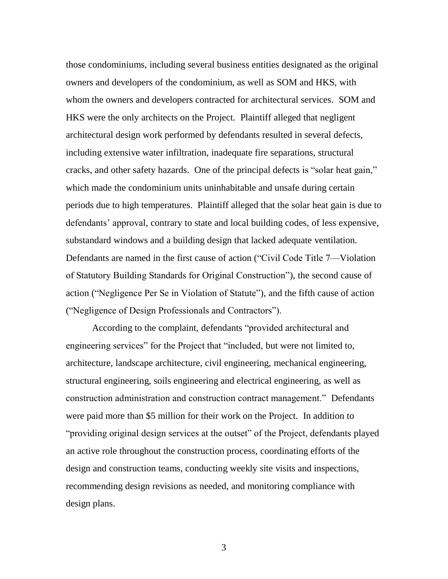those condominiums, including several business entities designated as the original owners and developers of the condominium, as well as SOM and HKS, with whom the owners and developers contracted for architectural services. SOM and HKS were the only architects on the Project. Plaintiff alleged that negligent architectural design work performed by defendants resulted in several defects, including extensive water infiltration, inadequate fire separations, structural cracks, and other safety hazards. One of the principal defects is "solar heat gain," which made the condominium units uninhabitable and unsafe during certain periods due to high temperatures. Plaintiff alleged that the solar heat gain is due to defendants' approval, contrary to state and local building codes, of less expensive, substandard windows and a building design that lacked adequate ventilation. Defendants are named in the first cause of action ("Civil Code Title 7—Violation of Statutory Building Standards for Original Construction"), the second cause of action ("Negligence Per Se in Violation of Statute"), and the fifth cause of action ("Negligence of Design Professionals and Contractors").

According to the complaint, defendants "provided architectural and engineering services" for the Project that "included, but were not limited to, architecture, landscape architecture, civil engineering, mechanical engineering, structural engineering, soils engineering and electrical engineering, as well as construction administration and construction contract management." Defendants were paid more than \$5 million for their work on the Project. In addition to "providing original design services at the outset" of the Project, defendants played an active role throughout the construction process, coordinating efforts of the design and construction teams, conducting weekly site visits and inspections, recommending design revisions as needed, and monitoring compliance with design plans.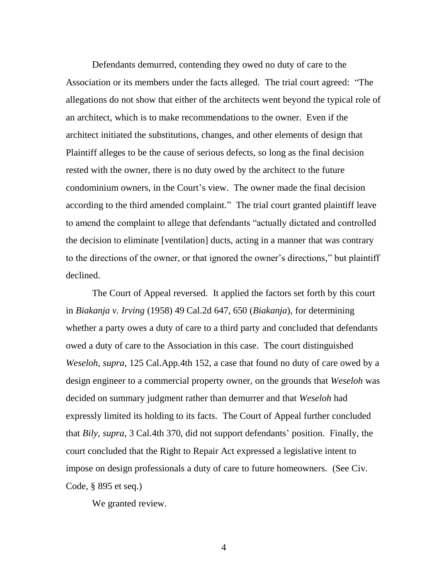Defendants demurred, contending they owed no duty of care to the Association or its members under the facts alleged. The trial court agreed: "The allegations do not show that either of the architects went beyond the typical role of an architect, which is to make recommendations to the owner. Even if the architect initiated the substitutions, changes, and other elements of design that Plaintiff alleges to be the cause of serious defects, so long as the final decision rested with the owner, there is no duty owed by the architect to the future condominium owners, in the Court's view. The owner made the final decision according to the third amended complaint." The trial court granted plaintiff leave to amend the complaint to allege that defendants "actually dictated and controlled the decision to eliminate [ventilation] ducts, acting in a manner that was contrary to the directions of the owner, or that ignored the owner's directions," but plaintiff declined.

The Court of Appeal reversed. It applied the factors set forth by this court in *Biakanja v. Irving* (1958) 49 Cal.2d 647, 650 (*Biakanja*), for determining whether a party owes a duty of care to a third party and concluded that defendants owed a duty of care to the Association in this case. The court distinguished *Weseloh*, *supra*, 125 Cal.App.4th 152, a case that found no duty of care owed by a design engineer to a commercial property owner, on the grounds that *Weseloh* was decided on summary judgment rather than demurrer and that *Weseloh* had expressly limited its holding to its facts. The Court of Appeal further concluded that *Bily*, *supra*, 3 Cal.4th 370, did not support defendants' position. Finally, the court concluded that the Right to Repair Act expressed a legislative intent to impose on design professionals a duty of care to future homeowners. (See Civ. Code, § 895 et seq.)

We granted review.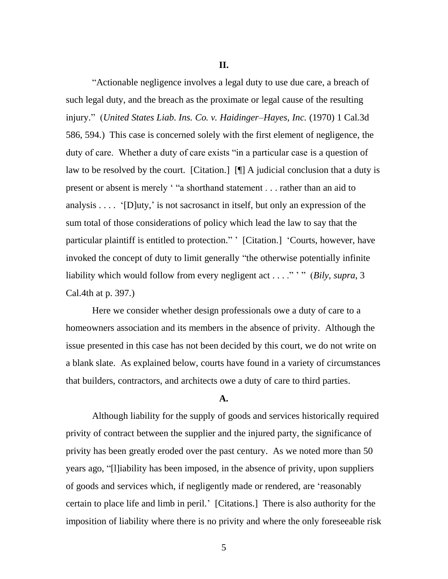**II.**

―Actionable negligence involves a legal duty to use due care, a breach of such legal duty, and the breach as the proximate or legal cause of the resulting injury.‖ (*United States Liab. Ins. Co. v. Haidinger–Hayes, Inc.* (1970) 1 Cal.3d 586, 594.) This case is concerned solely with the first element of negligence, the duty of care. Whether a duty of care exists "in a particular case is a question of law to be resolved by the court. [Citation.] [¶] A judicial conclusion that a duty is present or absent is merely ' "a shorthand statement . . . rather than an aid to analysis  $\dots$  '[D]uty,' is not sacrosanct in itself, but only an expression of the sum total of those considerations of policy which lead the law to say that the particular plaintiff is entitled to protection." [Citation.] 'Courts, however, have invoked the concept of duty to limit generally "the otherwise potentially infinite liability which would follow from every negligent act . . . .<sup>"</sup> '" (*Bily*, *supra*, 3 Cal.4th at p. 397.)

Here we consider whether design professionals owe a duty of care to a homeowners association and its members in the absence of privity. Although the issue presented in this case has not been decided by this court, we do not write on a blank slate. As explained below, courts have found in a variety of circumstances that builders, contractors, and architects owe a duty of care to third parties.

### **A.**

Although liability for the supply of goods and services historically required privity of contract between the supplier and the injured party, the significance of privity has been greatly eroded over the past century. As we noted more than 50 years ago, "[l]iability has been imposed, in the absence of privity, upon suppliers of goods and services which, if negligently made or rendered, are ‗reasonably certain to place life and limb in peril.' [Citations.] There is also authority for the imposition of liability where there is no privity and where the only foreseeable risk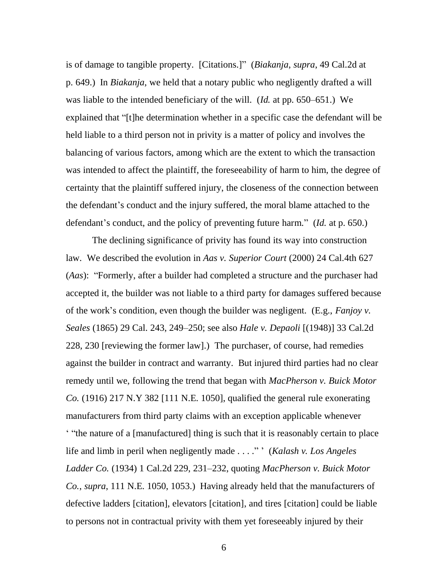is of damage to tangible property. [Citations.]" (*Biakanja*, *supra*, 49 Cal.2d at p. 649.) In *Biakanja*, we held that a notary public who negligently drafted a will was liable to the intended beneficiary of the will. (*Id.* at pp. 650–651.) We explained that "[t]he determination whether in a specific case the defendant will be held liable to a third person not in privity is a matter of policy and involves the balancing of various factors, among which are the extent to which the transaction was intended to affect the plaintiff, the foreseeability of harm to him, the degree of certainty that the plaintiff suffered injury, the closeness of the connection between the defendant's conduct and the injury suffered, the moral blame attached to the defendant's conduct, and the policy of preventing future harm." (*Id.* at p. 650.)

The declining significance of privity has found its way into construction law. We described the evolution in *Aas v. Superior Court* (2000) 24 Cal.4th 627 (*Aas*): "Formerly, after a builder had completed a structure and the purchaser had accepted it, the builder was not liable to a third party for damages suffered because of the work's condition, even though the builder was negligent. (E.g., *Fanjoy v. Seales* (1865) 29 Cal. 243, 249–250; see also *Hale v. Depaoli* [(1948)] 33 Cal.2d 228, 230 [reviewing the former law].) The purchaser, of course, had remedies against the builder in contract and warranty. But injured third parties had no clear remedy until we, following the trend that began with *MacPherson v. Buick Motor Co.* (1916) 217 N.Y 382 [111 N.E. 1050], qualified the general rule exonerating manufacturers from third party claims with an exception applicable whenever " "the nature of a [manufactured] thing is such that it is reasonably certain to place life and limb in peril when negligently made . . . .<sup>"</sup> (*Kalash v. Los Angeles*) *Ladder Co.* (1934) 1 Cal.2d 229, 231–232, quoting *MacPherson v. Buick Motor Co.*, *supra*, 111 N.E. 1050, 1053.) Having already held that the manufacturers of defective ladders [citation], elevators [citation], and tires [citation] could be liable to persons not in contractual privity with them yet foreseeably injured by their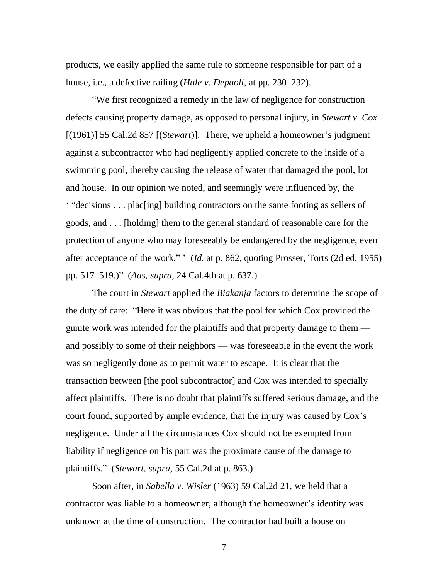products, we easily applied the same rule to someone responsible for part of a house, i.e., a defective railing (*Hale v. Depaoli*, at pp. 230–232).

―We first recognized a remedy in the law of negligence for construction defects causing property damage, as opposed to personal injury, in *Stewart v. Cox* [(1961)] 55 Cal.2d 857 [(*Stewart*)]. There, we upheld a homeowner's judgment against a subcontractor who had negligently applied concrete to the inside of a swimming pool, thereby causing the release of water that damaged the pool, lot and house. In our opinion we noted, and seemingly were influenced by, the  $``decisions \dots placling] building contractsors on the same footing as sellers of$ goods, and . . . [holding] them to the general standard of reasonable care for the protection of anyone who may foreseeably be endangered by the negligence, even after acceptance of the work." ' (*Id.* at p. 862, quoting Prosser, Torts (2d ed. 1955) pp. 517–519.)‖ (*Aas*, *supra*, 24 Cal.4th at p. 637.)

The court in *Stewart* applied the *Biakanja* factors to determine the scope of the duty of care: "Here it was obvious that the pool for which Cox provided the gunite work was intended for the plaintiffs and that property damage to them –– and possibly to some of their neighbors — was foreseeable in the event the work was so negligently done as to permit water to escape. It is clear that the transaction between [the pool subcontractor] and Cox was intended to specially affect plaintiffs. There is no doubt that plaintiffs suffered serious damage, and the court found, supported by ample evidence, that the injury was caused by Cox's negligence. Under all the circumstances Cox should not be exempted from liability if negligence on his part was the proximate cause of the damage to plaintiffs.‖ (*Stewart*, *supra*, 55 Cal.2d at p. 863.)

Soon after, in *Sabella v. Wisler* (1963) 59 Cal.2d 21, we held that a contractor was liable to a homeowner, although the homeowner's identity was unknown at the time of construction. The contractor had built a house on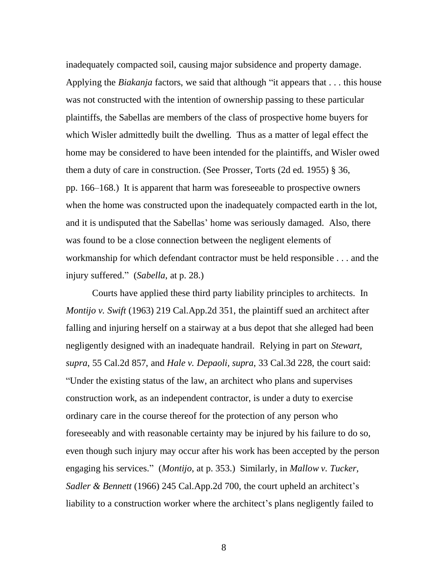inadequately compacted soil, causing major subsidence and property damage. Applying the *Biakanja* factors, we said that although "it appears that . . . this house was not constructed with the intention of ownership passing to these particular plaintiffs, the Sabellas are members of the class of prospective home buyers for which Wisler admittedly built the dwelling. Thus as a matter of legal effect the home may be considered to have been intended for the plaintiffs, and Wisler owed them a duty of care in construction. (See Prosser, Torts (2d ed. 1955) § 36, pp. 166–168.) It is apparent that harm was foreseeable to prospective owners when the home was constructed upon the inadequately compacted earth in the lot, and it is undisputed that the Sabellas' home was seriously damaged. Also, there was found to be a close connection between the negligent elements of workmanship for which defendant contractor must be held responsible . . . and the injury suffered." (*Sabella*, at p. 28.)

Courts have applied these third party liability principles to architects. In *Montijo v. Swift* (1963) 219 Cal.App.2d 351, the plaintiff sued an architect after falling and injuring herself on a stairway at a bus depot that she alleged had been negligently designed with an inadequate handrail. Relying in part on *Stewart, supra*, 55 Cal.2d 857, and *Hale v. Depaoli, supra*, 33 Cal.3d 228, the court said: ―Under the existing status of the law, an architect who plans and supervises construction work, as an independent contractor, is under a duty to exercise ordinary care in the course thereof for the protection of any person who foreseeably and with reasonable certainty may be injured by his failure to do so, even though such injury may occur after his work has been accepted by the person engaging his services.‖ (*Montijo*, at p. 353.) Similarly, in *Mallow v. Tucker, Sadler & Bennett* (1966) 245 Cal.App.2d 700, the court upheld an architect's liability to a construction worker where the architect's plans negligently failed to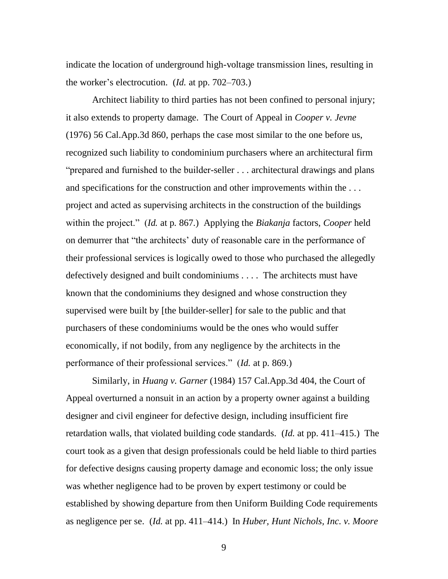indicate the location of underground high-voltage transmission lines, resulting in the worker's electrocution. (*Id.* at pp. 702–703.)

Architect liability to third parties has not been confined to personal injury; it also extends to property damage. The Court of Appeal in *Cooper v. Jevne* (1976) 56 Cal.App.3d 860, perhaps the case most similar to the one before us, recognized such liability to condominium purchasers where an architectural firm "prepared and furnished to the builder-seller . . . architectural drawings and plans and specifications for the construction and other improvements within the . . . project and acted as supervising architects in the construction of the buildings within the project.‖ (*Id.* at p. 867.) Applying the *Biakanja* factors, *Cooper* held on demurrer that "the architects' duty of reasonable care in the performance of their professional services is logically owed to those who purchased the allegedly defectively designed and built condominiums . . . . The architects must have known that the condominiums they designed and whose construction they supervised were built by [the builder-seller] for sale to the public and that purchasers of these condominiums would be the ones who would suffer economically, if not bodily, from any negligence by the architects in the performance of their professional services.‖ (*Id.* at p. 869.)

Similarly, in *Huang v. Garner* (1984) 157 Cal.App.3d 404, the Court of Appeal overturned a nonsuit in an action by a property owner against a building designer and civil engineer for defective design, including insufficient fire retardation walls, that violated building code standards. (*Id.* at pp. 411–415.) The court took as a given that design professionals could be held liable to third parties for defective designs causing property damage and economic loss; the only issue was whether negligence had to be proven by expert testimony or could be established by showing departure from then Uniform Building Code requirements as negligence per se. (*Id.* at pp. 411–414.) In *Huber, Hunt Nichols, Inc. v. Moore*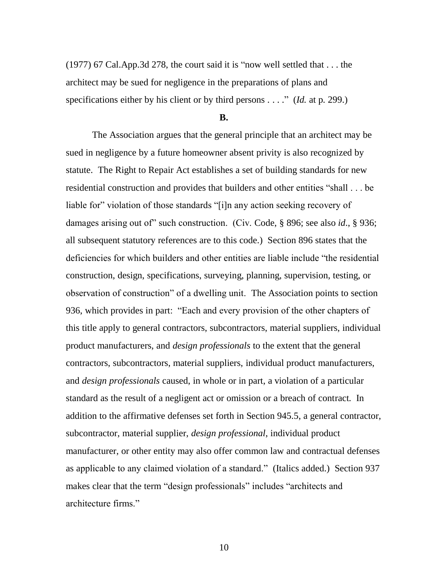$(1977)$  67 Cal.App.3d 278, the court said it is "now well settled that ... the architect may be sued for negligence in the preparations of plans and specifications either by his client or by third persons . . . ." *(Id.* at p. 299.)

#### **B.**

The Association argues that the general principle that an architect may be sued in negligence by a future homeowner absent privity is also recognized by statute. The Right to Repair Act establishes a set of building standards for new residential construction and provides that builders and other entities "shall . . . be liable for" violation of those standards "[i]n any action seeking recovery of damages arising out of" such construction. (Civ. Code, § 896; see also *id.*, § 936; all subsequent statutory references are to this code.) Section 896 states that the deficiencies for which builders and other entities are liable include "the residential construction, design, specifications, surveying, planning, supervision, testing, or observation of construction" of a dwelling unit. The Association points to section 936, which provides in part: "Each and every provision of the other chapters of this title apply to general contractors, subcontractors, material suppliers, individual product manufacturers, and *design professionals* to the extent that the general contractors, subcontractors, material suppliers, individual product manufacturers, and *design professionals* caused, in whole or in part, a violation of a particular standard as the result of a negligent act or omission or a breach of contract. In addition to the affirmative defenses set forth in Section 945.5, a general contractor, subcontractor, material supplier, *design professional*, individual product manufacturer, or other entity may also offer common law and contractual defenses as applicable to any claimed violation of a standard." (Italics added.) Section 937 makes clear that the term "design professionals" includes "architects and architecture firms."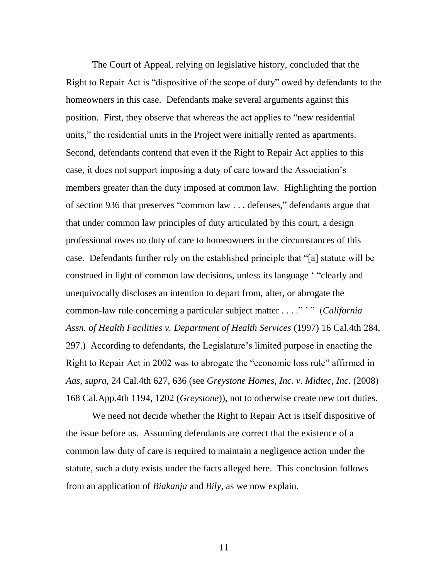The Court of Appeal, relying on legislative history, concluded that the Right to Repair Act is "dispositive of the scope of duty" owed by defendants to the homeowners in this case. Defendants make several arguments against this position. First, they observe that whereas the act applies to "new residential units," the residential units in the Project were initially rented as apartments. Second, defendants contend that even if the Right to Repair Act applies to this case, it does not support imposing a duty of care toward the Association's members greater than the duty imposed at common law. Highlighting the portion of section 936 that preserves "common law . . . defenses," defendants argue that that under common law principles of duty articulated by this court, a design professional owes no duty of care to homeowners in the circumstances of this case. Defendants further rely on the established principle that "[a] statute will be construed in light of common law decisions, unless its language "clearly and unequivocally discloses an intention to depart from, alter, or abrogate the common-law rule concerning a particular subject matter . . . ." '" (California *Assn. of Health Facilities v. Department of Health Services* (1997) 16 Cal.4th 284, 297.) According to defendants, the Legislature's limited purpose in enacting the Right to Repair Act in 2002 was to abrogate the "economic loss rule" affirmed in *Aas*, *supra*, 24 Cal.4th 627, 636 (see *Greystone Homes, Inc. v. Midtec, Inc.* (2008) 168 Cal.App.4th 1194, 1202 (*Greystone*)), not to otherwise create new tort duties.

We need not decide whether the Right to Repair Act is itself dispositive of the issue before us. Assuming defendants are correct that the existence of a common law duty of care is required to maintain a negligence action under the statute, such a duty exists under the facts alleged here. This conclusion follows from an application of *Biakanja* and *Bily*, as we now explain.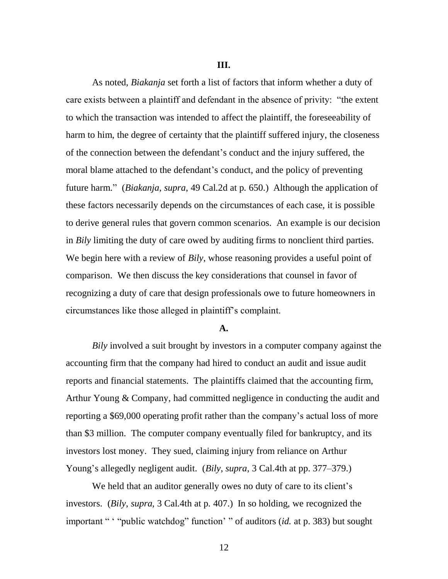**III.**

As noted, *Biakanja* set forth a list of factors that inform whether a duty of care exists between a plaintiff and defendant in the absence of privity: "the extent to which the transaction was intended to affect the plaintiff, the foreseeability of harm to him, the degree of certainty that the plaintiff suffered injury, the closeness of the connection between the defendant's conduct and the injury suffered, the moral blame attached to the defendant's conduct, and the policy of preventing future harm.‖ (*Biakanja*, *supra*, 49 Cal.2d at p. 650.) Although the application of these factors necessarily depends on the circumstances of each case, it is possible to derive general rules that govern common scenarios. An example is our decision in *Bily* limiting the duty of care owed by auditing firms to nonclient third parties. We begin here with a review of *Bily*, whose reasoning provides a useful point of comparison. We then discuss the key considerations that counsel in favor of recognizing a duty of care that design professionals owe to future homeowners in circumstances like those alleged in plaintiff's complaint.

### **A.**

*Bily* involved a suit brought by investors in a computer company against the accounting firm that the company had hired to conduct an audit and issue audit reports and financial statements. The plaintiffs claimed that the accounting firm, Arthur Young & Company, had committed negligence in conducting the audit and reporting a \$69,000 operating profit rather than the company's actual loss of more than \$3 million. The computer company eventually filed for bankruptcy, and its investors lost money. They sued, claiming injury from reliance on Arthur Young's allegedly negligent audit. (*Bily*, *supra*, 3 Cal.4th at pp. 377–379.)

We held that an auditor generally owes no duty of care to its client's investors. (*Bily*, *supra*, 3 Cal.4th at p. 407.) In so holding, we recognized the important " " "public watchdog" function' " of auditors *(id.* at p. 383) but sought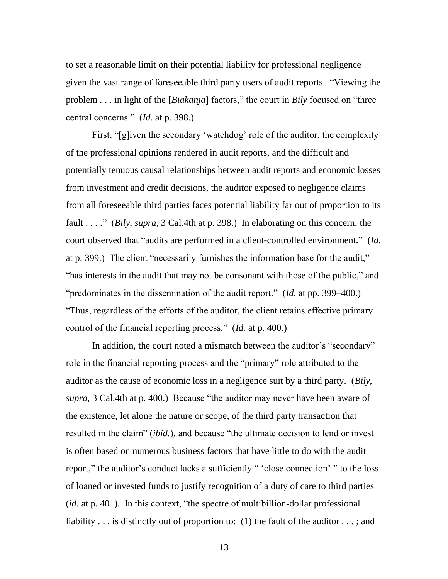to set a reasonable limit on their potential liability for professional negligence given the vast range of foreseeable third party users of audit reports. "Viewing the problem . . . in light of the [*Biakanja*] factors," the court in *Bily* focused on "three central concerns.‖ (*Id.* at p. 398.)

First, "[g]iven the secondary 'watchdog' role of the auditor, the complexity of the professional opinions rendered in audit reports, and the difficult and potentially tenuous causal relationships between audit reports and economic losses from investment and credit decisions, the auditor exposed to negligence claims from all foreseeable third parties faces potential liability far out of proportion to its fault . . . ." (*Bily*, *supra*, 3 Cal.4th at p. 398.) In elaborating on this concern, the court observed that "audits are performed in a client-controlled environment." (*Id.*) at p. 399.) The client "necessarily furnishes the information base for the audit," "has interests in the audit that may not be consonant with those of the public," and "predominates in the dissemination of the audit report." (*Id.* at pp. 399–400.) ―Thus, regardless of the efforts of the auditor, the client retains effective primary control of the financial reporting process." (*Id.* at p. 400.)

In addition, the court noted a mismatch between the auditor's "secondary" role in the financial reporting process and the "primary" role attributed to the auditor as the cause of economic loss in a negligence suit by a third party. (*Bily*, *supra*, 3 Cal.4th at p. 400.) Because "the auditor may never have been aware of the existence, let alone the nature or scope, of the third party transaction that resulted in the claim" *(ibid.)*, and because "the ultimate decision to lend or invest is often based on numerous business factors that have little to do with the audit report," the auditor's conduct lacks a sufficiently " 'close connection' " to the loss of loaned or invested funds to justify recognition of a duty of care to third parties  $(id.$  at p. 401). In this context, "the spectre of multibillion-dollar professional liability . . . is distinctly out of proportion to: (1) the fault of the auditor . . . ; and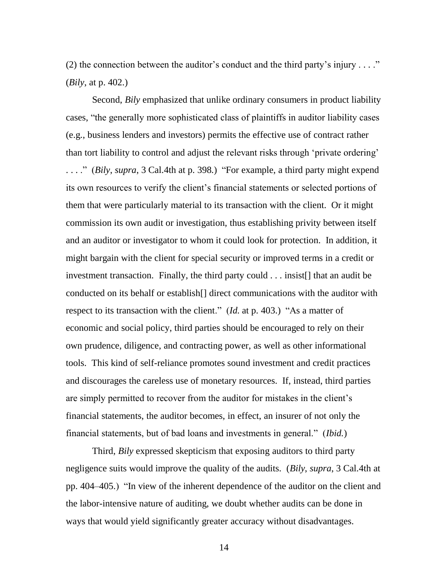(2) the connection between the auditor's conduct and the third party's injury  $\dots$ ." (*Bily*, at p. 402.)

Second, *Bily* emphasized that unlike ordinary consumers in product liability cases, "the generally more sophisticated class of plaintiffs in auditor liability cases (e.g., business lenders and investors) permits the effective use of contract rather than tort liability to control and adjust the relevant risks through 'private ordering' ...." (*Bily*, *supra*, 3 Cal.4th at p. 398.) "For example, a third party might expend its own resources to verify the client's financial statements or selected portions of them that were particularly material to its transaction with the client. Or it might commission its own audit or investigation, thus establishing privity between itself and an auditor or investigator to whom it could look for protection. In addition, it might bargain with the client for special security or improved terms in a credit or investment transaction. Finally, the third party could . . . insist[] that an audit be conducted on its behalf or establish[] direct communications with the auditor with respect to its transaction with the client." (*Id.* at p. 403.) "As a matter of economic and social policy, third parties should be encouraged to rely on their own prudence, diligence, and contracting power, as well as other informational tools. This kind of self-reliance promotes sound investment and credit practices and discourages the careless use of monetary resources. If, instead, third parties are simply permitted to recover from the auditor for mistakes in the client's financial statements, the auditor becomes, in effect, an insurer of not only the financial statements, but of bad loans and investments in general." (*Ibid.*)

Third, *Bily* expressed skepticism that exposing auditors to third party negligence suits would improve the quality of the audits. (*Bily*, *supra*, 3 Cal.4th at pp. 404–405.) "In view of the inherent dependence of the auditor on the client and the labor-intensive nature of auditing, we doubt whether audits can be done in ways that would yield significantly greater accuracy without disadvantages.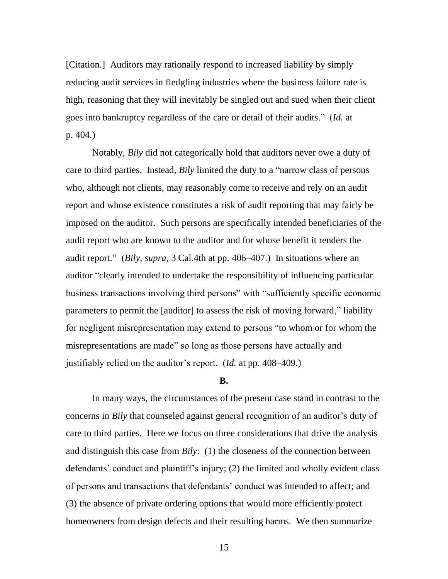[Citation.] Auditors may rationally respond to increased liability by simply reducing audit services in fledgling industries where the business failure rate is high, reasoning that they will inevitably be singled out and sued when their client goes into bankruptcy regardless of the care or detail of their audits." (*Id.* at p. 404.)

Notably, *Bily* did not categorically hold that auditors never owe a duty of care to third parties. Instead, *Bily* limited the duty to a "narrow class of persons" who, although not clients, may reasonably come to receive and rely on an audit report and whose existence constitutes a risk of audit reporting that may fairly be imposed on the auditor. Such persons are specifically intended beneficiaries of the audit report who are known to the auditor and for whose benefit it renders the audit report.‖ (*Bily*, *supra*, 3 Cal.4th at pp. 406–407.) In situations where an auditor "clearly intended to undertake the responsibility of influencing particular business transactions involving third persons" with "sufficiently specific economic parameters to permit the [auditor] to assess the risk of moving forward," liability for negligent misrepresentation may extend to persons "to whom or for whom the misrepresentations are made" so long as those persons have actually and justifiably relied on the auditor's report. (*Id.* at pp. 408–409.)

### **B.**

In many ways, the circumstances of the present case stand in contrast to the concerns in *Bily* that counseled against general recognition of an auditor's duty of care to third parties. Here we focus on three considerations that drive the analysis and distinguish this case from *Bily*: (1) the closeness of the connection between defendants' conduct and plaintiff's injury; (2) the limited and wholly evident class of persons and transactions that defendants' conduct was intended to affect; and (3) the absence of private ordering options that would more efficiently protect homeowners from design defects and their resulting harms. We then summarize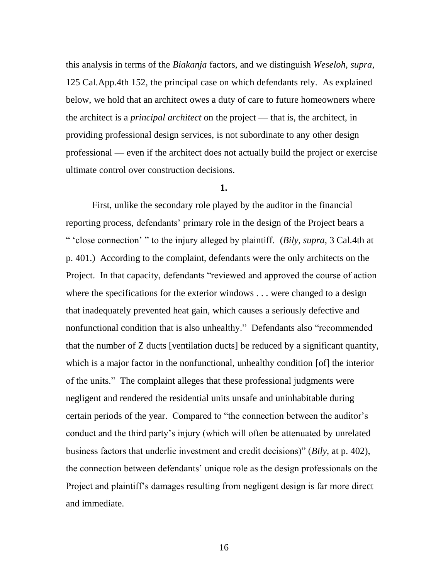this analysis in terms of the *Biakanja* factors, and we distinguish *Weseloh*, *supra*, 125 Cal.App.4th 152, the principal case on which defendants rely. As explained below, we hold that an architect owes a duty of care to future homeowners where the architect is a *principal architect* on the project — that is, the architect, in providing professional design services, is not subordinate to any other design professional — even if the architect does not actually build the project or exercise ultimate control over construction decisions.

### **1.**

First, unlike the secondary role played by the auditor in the financial reporting process, defendants' primary role in the design of the Project bears a ― ‗close connection' ‖ to the injury alleged by plaintiff. (*Bily*, *supra*, 3 Cal.4th at p. 401.) According to the complaint, defendants were the only architects on the Project. In that capacity, defendants "reviewed and approved the course of action where the specifications for the exterior windows . . . were changed to a design that inadequately prevented heat gain, which causes a seriously defective and nonfunctional condition that is also unhealthy." Defendants also "recommended that the number of Z ducts [ventilation ducts] be reduced by a significant quantity, which is a major factor in the nonfunctional, unhealthy condition [of] the interior of the units." The complaint alleges that these professional judgments were negligent and rendered the residential units unsafe and uninhabitable during certain periods of the year. Compared to "the connection between the auditor's conduct and the third party's injury (which will often be attenuated by unrelated business factors that underlie investment and credit decisions)" (*Bily*, at p. 402), the connection between defendants' unique role as the design professionals on the Project and plaintiff's damages resulting from negligent design is far more direct and immediate.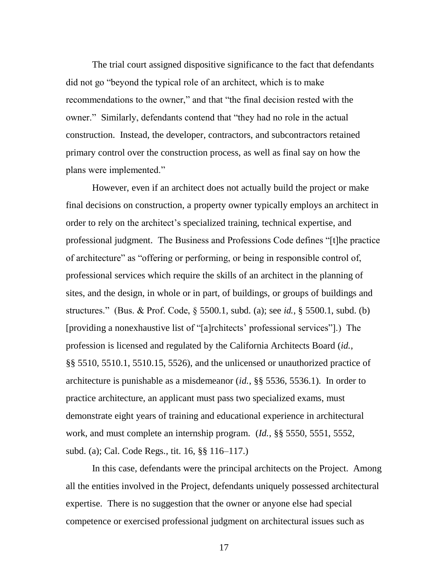The trial court assigned dispositive significance to the fact that defendants did not go "beyond the typical role of an architect, which is to make recommendations to the owner," and that "the final decision rested with the owner." Similarly, defendants contend that "they had no role in the actual construction. Instead, the developer, contractors, and subcontractors retained primary control over the construction process, as well as final say on how the plans were implemented."

However, even if an architect does not actually build the project or make final decisions on construction, a property owner typically employs an architect in order to rely on the architect's specialized training, technical expertise, and professional judgment. The Business and Professions Code defines "[t]he practice of architecture" as "offering or performing, or being in responsible control of, professional services which require the skills of an architect in the planning of sites, and the design, in whole or in part, of buildings, or groups of buildings and structures.‖ (Bus. & Prof. Code, § 5500.1, subd. (a); see *id.*, § 5500.1, subd. (b) [providing a nonexhaustive list of "[a]rchitects' professional services"].) The profession is licensed and regulated by the California Architects Board (*id.*, §§ 5510, 5510.1, 5510.15, 5526), and the unlicensed or unauthorized practice of architecture is punishable as a misdemeanor (*id.*, §§ 5536, 5536.1). In order to practice architecture, an applicant must pass two specialized exams, must demonstrate eight years of training and educational experience in architectural work, and must complete an internship program. (*Id.*, §§ 5550, 5551, 5552, subd. (a); Cal. Code Regs., tit. 16, §§ 116–117.)

In this case, defendants were the principal architects on the Project. Among all the entities involved in the Project, defendants uniquely possessed architectural expertise. There is no suggestion that the owner or anyone else had special competence or exercised professional judgment on architectural issues such as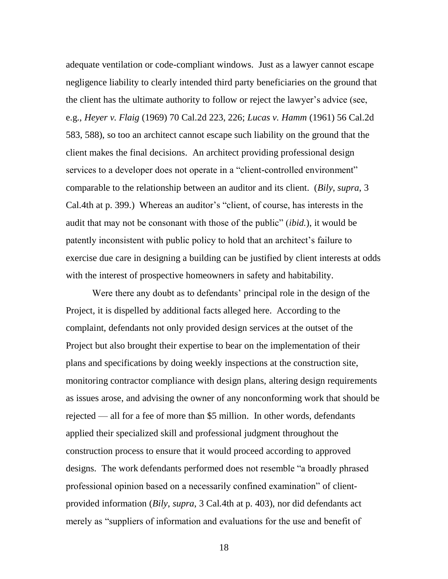adequate ventilation or code-compliant windows. Just as a lawyer cannot escape negligence liability to clearly intended third party beneficiaries on the ground that the client has the ultimate authority to follow or reject the lawyer's advice (see, e.g., *Heyer v. Flaig* (1969) 70 Cal.2d 223, 226; *Lucas v. Hamm* (1961) 56 Cal.2d 583, 588), so too an architect cannot escape such liability on the ground that the client makes the final decisions. An architect providing professional design services to a developer does not operate in a "client-controlled environment" comparable to the relationship between an auditor and its client. (*Bily*, *supra*, 3 Cal.4th at p. 399.) Whereas an auditor's "client, of course, has interests in the audit that may not be consonant with those of the public" *(ibid.)*, it would be patently inconsistent with public policy to hold that an architect's failure to exercise due care in designing a building can be justified by client interests at odds with the interest of prospective homeowners in safety and habitability.

Were there any doubt as to defendants' principal role in the design of the Project, it is dispelled by additional facts alleged here. According to the complaint, defendants not only provided design services at the outset of the Project but also brought their expertise to bear on the implementation of their plans and specifications by doing weekly inspections at the construction site, monitoring contractor compliance with design plans, altering design requirements as issues arose, and advising the owner of any nonconforming work that should be rejected — all for a fee of more than \$5 million. In other words, defendants applied their specialized skill and professional judgment throughout the construction process to ensure that it would proceed according to approved designs. The work defendants performed does not resemble "a broadly phrased professional opinion based on a necessarily confined examination" of clientprovided information (*Bily*, *supra*, 3 Cal.4th at p. 403), nor did defendants act merely as "suppliers of information and evaluations for the use and benefit of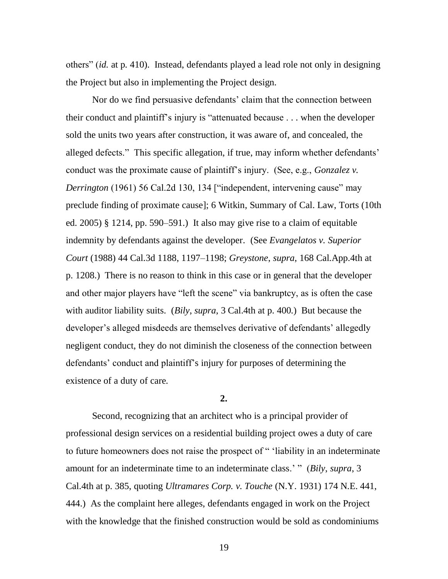others‖ (*id.* at p. 410). Instead, defendants played a lead role not only in designing the Project but also in implementing the Project design.

Nor do we find persuasive defendants' claim that the connection between their conduct and plaintiff's injury is "attenuated because  $\ldots$  when the developer sold the units two years after construction, it was aware of, and concealed, the alleged defects." This specific allegation, if true, may inform whether defendants' conduct was the proximate cause of plaintiff's injury. (See, e.g., *Gonzalez v. Derrington* (1961) 56 Cal.2d 130, 134 ["independent, intervening cause" may preclude finding of proximate cause]; 6 Witkin, Summary of Cal. Law, Torts (10th ed. 2005) § 1214, pp. 590–591.) It also may give rise to a claim of equitable indemnity by defendants against the developer. (See *Evangelatos v. Superior Court* (1988) 44 Cal.3d 1188, 1197–1198; *Greystone*, *supra*, 168 Cal.App.4th at p. 1208.) There is no reason to think in this case or in general that the developer and other major players have "left the scene" via bankruptcy, as is often the case with auditor liability suits. (*Bily*, *supra*, 3 Cal.4th at p. 400.) But because the developer's alleged misdeeds are themselves derivative of defendants' allegedly negligent conduct, they do not diminish the closeness of the connection between defendants' conduct and plaintiff's injury for purposes of determining the existence of a duty of care.

**2.**

Second, recognizing that an architect who is a principal provider of professional design services on a residential building project owes a duty of care to future homeowners does not raise the prospect of " 'liability in an indeterminate amount for an indeterminate time to an indeterminate class.' " (*Bily*, *supra*, 3 Cal.4th at p. 385, quoting *Ultramares Corp. v. Touche* (N.Y. 1931) 174 N.E. 441, 444.) As the complaint here alleges, defendants engaged in work on the Project with the knowledge that the finished construction would be sold as condominiums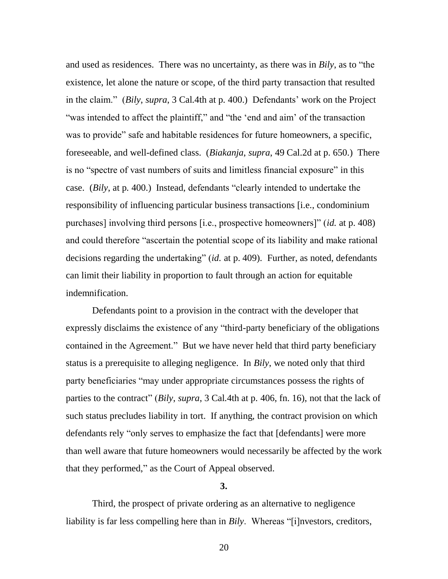and used as residences. There was no uncertainty, as there was in *Bily*, as to "the existence, let alone the nature or scope, of the third party transaction that resulted in the claim.‖ (*Bily*, *supra*, 3 Cal.4th at p. 400.) Defendants' work on the Project "was intended to affect the plaintiff," and "the 'end and aim' of the transaction was to provide" safe and habitable residences for future homeowners, a specific, foreseeable, and well-defined class. (*Biakanja*, *supra*, 49 Cal.2d at p. 650.) There is no "spectre of vast numbers of suits and limitless financial exposure" in this case. (*Bily*, at p. 400.) Instead, defendants "clearly intended to undertake the responsibility of influencing particular business transactions [i.e., condominium purchases] involving third persons [i.e., prospective homeowners]" *(id.* at p. 408) and could therefore "ascertain the potential scope of its liability and make rational decisions regarding the undertaking" *(id.* at p. 409). Further, as noted, defendants can limit their liability in proportion to fault through an action for equitable indemnification.

Defendants point to a provision in the contract with the developer that expressly disclaims the existence of any "third-party beneficiary of the obligations" contained in the Agreement." But we have never held that third party beneficiary status is a prerequisite to alleging negligence. In *Bily*, we noted only that third party beneficiaries "may under appropriate circumstances possess the rights of parties to the contract" (*Bily*, *supra*, 3 Cal.4th at p. 406, fn. 16), not that the lack of such status precludes liability in tort. If anything, the contract provision on which defendants rely "only serves to emphasize the fact that [defendants] were more than well aware that future homeowners would necessarily be affected by the work that they performed," as the Court of Appeal observed.

## **3.**

Third, the prospect of private ordering as an alternative to negligence liability is far less compelling here than in *Bily*. Whereas "[i]nvestors, creditors,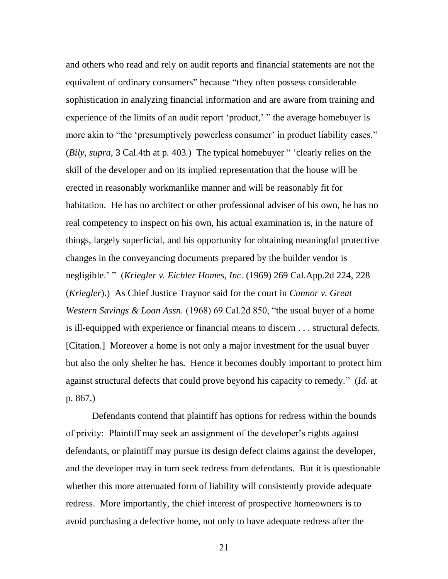and others who read and rely on audit reports and financial statements are not the equivalent of ordinary consumers" because "they often possess considerable sophistication in analyzing financial information and are aware from training and experience of the limits of an audit report 'product,' " the average homebuyer is more akin to "the 'presumptively powerless consumer' in product liability cases." (*Bily*, *supra*, 3 Cal.4th at p. 403.) The typical homebuyer " 'clearly relies on the skill of the developer and on its implied representation that the house will be erected in reasonably workmanlike manner and will be reasonably fit for habitation. He has no architect or other professional adviser of his own, he has no real competency to inspect on his own, his actual examination is, in the nature of things, largely superficial, and his opportunity for obtaining meaningful protective changes in the conveyancing documents prepared by the builder vendor is negligible.' " (*Kriegler v. Eichler Homes, Inc.* (1969) 269 Cal.App.2d 224, 228 (*Kriegler*).) As Chief Justice Traynor said for the court in *Connor v. Great Western Savings & Loan Assn.* (1968) 69 Cal.2d 850, "the usual buyer of a home is ill-equipped with experience or financial means to discern . . . structural defects. [Citation.] Moreover a home is not only a major investment for the usual buyer but also the only shelter he has. Hence it becomes doubly important to protect him against structural defects that could prove beyond his capacity to remedy." (*Id.* at p. 867.)

Defendants contend that plaintiff has options for redress within the bounds of privity: Plaintiff may seek an assignment of the developer's rights against defendants, or plaintiff may pursue its design defect claims against the developer, and the developer may in turn seek redress from defendants. But it is questionable whether this more attenuated form of liability will consistently provide adequate redress. More importantly, the chief interest of prospective homeowners is to avoid purchasing a defective home, not only to have adequate redress after the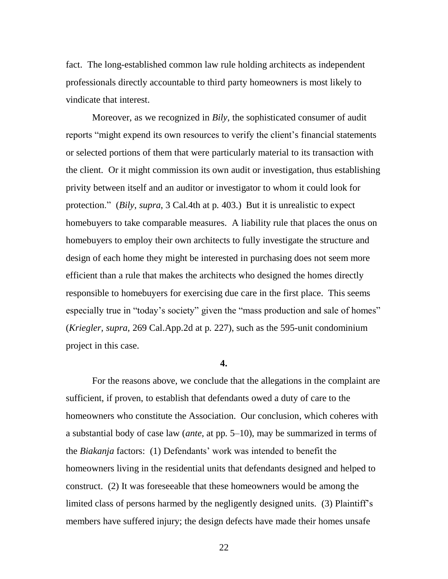fact. The long-established common law rule holding architects as independent professionals directly accountable to third party homeowners is most likely to vindicate that interest.

Moreover, as we recognized in *Bily*, the sophisticated consumer of audit reports "might expend its own resources to verify the client's financial statements or selected portions of them that were particularly material to its transaction with the client. Or it might commission its own audit or investigation, thus establishing privity between itself and an auditor or investigator to whom it could look for protection." (*Bily*, *supra*, 3 Cal.4th at p. 403.) But it is unrealistic to expect homebuyers to take comparable measures. A liability rule that places the onus on homebuyers to employ their own architects to fully investigate the structure and design of each home they might be interested in purchasing does not seem more efficient than a rule that makes the architects who designed the homes directly responsible to homebuyers for exercising due care in the first place. This seems especially true in "today's society" given the "mass production and sale of homes" (*Kriegler, supra,* 269 Cal.App.2d at p. 227), such as the 595-unit condominium project in this case.

### **4.**

For the reasons above, we conclude that the allegations in the complaint are sufficient, if proven, to establish that defendants owed a duty of care to the homeowners who constitute the Association. Our conclusion, which coheres with a substantial body of case law (*ante*, at pp. 5–10), may be summarized in terms of the *Biakanja* factors: (1) Defendants' work was intended to benefit the homeowners living in the residential units that defendants designed and helped to construct. (2) It was foreseeable that these homeowners would be among the limited class of persons harmed by the negligently designed units. (3) Plaintiff's members have suffered injury; the design defects have made their homes unsafe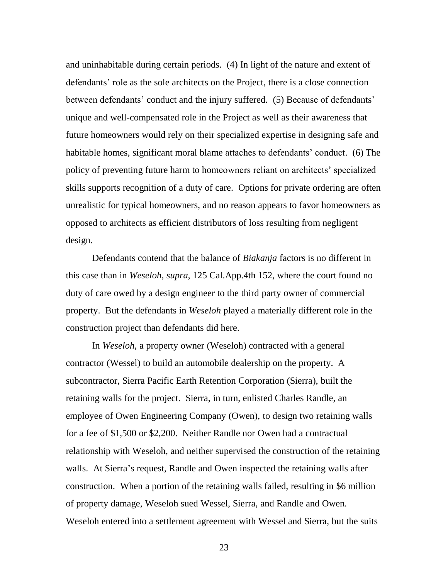and uninhabitable during certain periods. (4) In light of the nature and extent of defendants' role as the sole architects on the Project, there is a close connection between defendants' conduct and the injury suffered. (5) Because of defendants' unique and well-compensated role in the Project as well as their awareness that future homeowners would rely on their specialized expertise in designing safe and habitable homes, significant moral blame attaches to defendants' conduct. (6) The policy of preventing future harm to homeowners reliant on architects' specialized skills supports recognition of a duty of care. Options for private ordering are often unrealistic for typical homeowners, and no reason appears to favor homeowners as opposed to architects as efficient distributors of loss resulting from negligent design.

Defendants contend that the balance of *Biakanja* factors is no different in this case than in *Weseloh*, *supra*, 125 Cal.App.4th 152, where the court found no duty of care owed by a design engineer to the third party owner of commercial property. But the defendants in *Weseloh* played a materially different role in the construction project than defendants did here.

In *Weseloh*, a property owner (Weseloh) contracted with a general contractor (Wessel) to build an automobile dealership on the property. A subcontractor, Sierra Pacific Earth Retention Corporation (Sierra), built the retaining walls for the project. Sierra, in turn, enlisted Charles Randle, an employee of Owen Engineering Company (Owen), to design two retaining walls for a fee of \$1,500 or \$2,200. Neither Randle nor Owen had a contractual relationship with Weseloh, and neither supervised the construction of the retaining walls. At Sierra's request, Randle and Owen inspected the retaining walls after construction. When a portion of the retaining walls failed, resulting in \$6 million of property damage, Weseloh sued Wessel, Sierra, and Randle and Owen. Weseloh entered into a settlement agreement with Wessel and Sierra, but the suits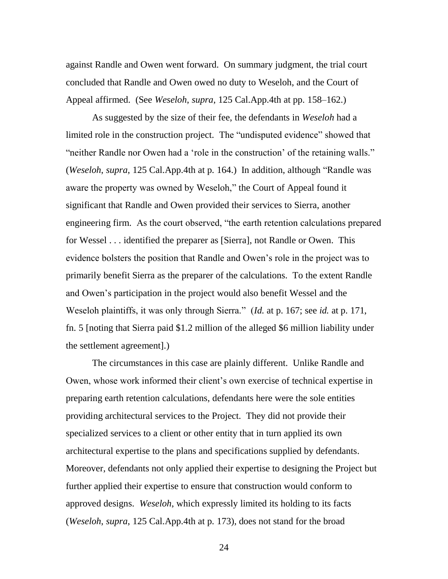against Randle and Owen went forward. On summary judgment, the trial court concluded that Randle and Owen owed no duty to Weseloh, and the Court of Appeal affirmed. (See *Weseloh*, *supra*, 125 Cal.App.4th at pp. 158–162.)

As suggested by the size of their fee, the defendants in *Weseloh* had a limited role in the construction project. The "undisputed evidence" showed that "neither Randle nor Owen had a 'role in the construction' of the retaining walls." (*Weseloh, supra, 125 Cal.App.4th at p. 164.*) In addition, although "Randle was aware the property was owned by Weseloh," the Court of Appeal found it significant that Randle and Owen provided their services to Sierra, another engineering firm. As the court observed, "the earth retention calculations prepared for Wessel . . . identified the preparer as [Sierra], not Randle or Owen. This evidence bolsters the position that Randle and Owen's role in the project was to primarily benefit Sierra as the preparer of the calculations. To the extent Randle and Owen's participation in the project would also benefit Wessel and the Weseloh plaintiffs, it was only through Sierra." *(Id.* at p. 167; see *id.* at p. 171, fn. 5 [noting that Sierra paid \$1.2 million of the alleged \$6 million liability under the settlement agreement].)

The circumstances in this case are plainly different. Unlike Randle and Owen, whose work informed their client's own exercise of technical expertise in preparing earth retention calculations, defendants here were the sole entities providing architectural services to the Project. They did not provide their specialized services to a client or other entity that in turn applied its own architectural expertise to the plans and specifications supplied by defendants. Moreover, defendants not only applied their expertise to designing the Project but further applied their expertise to ensure that construction would conform to approved designs. *Weseloh*, which expressly limited its holding to its facts (*Weseloh*, *supra*, 125 Cal.App.4th at p. 173), does not stand for the broad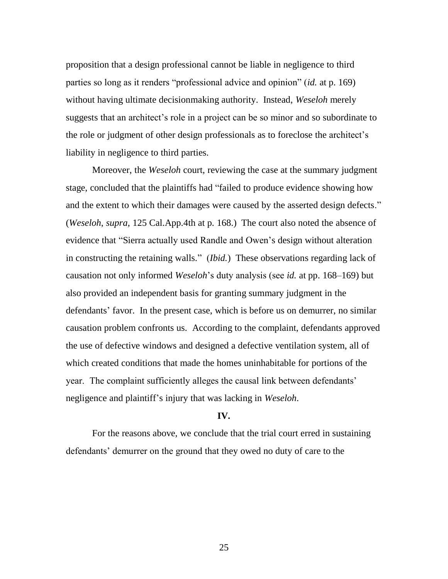proposition that a design professional cannot be liable in negligence to third parties so long as it renders "professional advice and opinion" (*id.* at p. 169) without having ultimate decisionmaking authority. Instead, *Weseloh* merely suggests that an architect's role in a project can be so minor and so subordinate to the role or judgment of other design professionals as to foreclose the architect's liability in negligence to third parties.

Moreover, the *Weseloh* court, reviewing the case at the summary judgment stage, concluded that the plaintiffs had "failed to produce evidence showing how and the extent to which their damages were caused by the asserted design defects." (*Weseloh*, *supra*, 125 Cal.App.4th at p. 168.) The court also noted the absence of evidence that "Sierra actually used Randle and Owen's design without alteration in constructing the retaining walls." *(Ibid.)* These observations regarding lack of causation not only informed *Weseloh*'s duty analysis (see *id.* at pp. 168–169) but also provided an independent basis for granting summary judgment in the defendants' favor. In the present case, which is before us on demurrer, no similar causation problem confronts us. According to the complaint, defendants approved the use of defective windows and designed a defective ventilation system, all of which created conditions that made the homes uninhabitable for portions of the year. The complaint sufficiently alleges the causal link between defendants' negligence and plaintiff's injury that was lacking in *Weseloh*.

### **IV.**

For the reasons above, we conclude that the trial court erred in sustaining defendants' demurrer on the ground that they owed no duty of care to the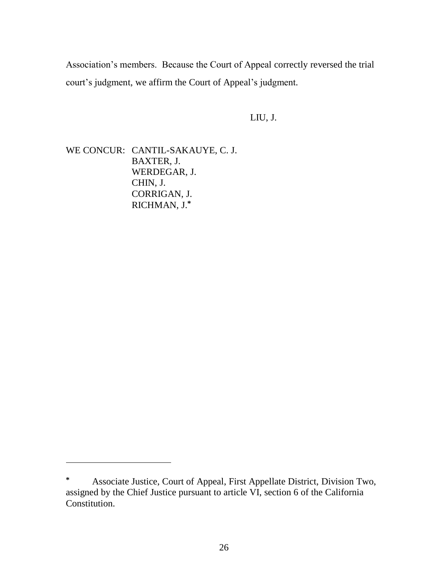Association's members. Because the Court of Appeal correctly reversed the trial court's judgment, we affirm the Court of Appeal's judgment.

LIU, J.

WE CONCUR: CANTIL-SAKAUYE, C. J. BAXTER, J. WERDEGAR, J. CHIN, J. CORRIGAN, J. RICHMAN, J.**\***

 $\overline{a}$ 

**<sup>\*</sup>** Associate Justice, Court of Appeal, First Appellate District, Division Two, assigned by the Chief Justice pursuant to article VI, section 6 of the California Constitution.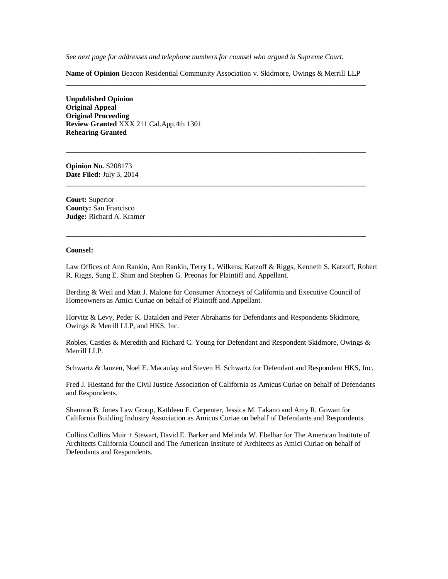*See next page for addresses and telephone numbers for counsel who argued in Supreme Court.*

**Name of Opinion** Beacon Residential Community Association v. Skidmore, Owings & Merrill LLP **\_\_\_\_\_\_\_\_\_\_\_\_\_\_\_\_\_\_\_\_\_\_\_\_\_\_\_\_\_\_\_\_\_\_\_\_\_\_\_\_\_\_\_\_\_\_\_\_\_\_\_\_\_\_\_\_\_\_\_\_\_\_\_\_\_\_\_\_\_\_\_\_\_\_\_\_\_\_\_\_\_\_**

**\_\_\_\_\_\_\_\_\_\_\_\_\_\_\_\_\_\_\_\_\_\_\_\_\_\_\_\_\_\_\_\_\_\_\_\_\_\_\_\_\_\_\_\_\_\_\_\_\_\_\_\_\_\_\_\_\_\_\_\_\_\_\_\_\_\_\_\_\_\_\_\_\_\_\_\_\_\_\_\_\_\_**

**\_\_\_\_\_\_\_\_\_\_\_\_\_\_\_\_\_\_\_\_\_\_\_\_\_\_\_\_\_\_\_\_\_\_\_\_\_\_\_\_\_\_\_\_\_\_\_\_\_\_\_\_\_\_\_\_\_\_\_\_\_\_\_\_\_\_\_\_\_\_\_\_\_\_\_\_\_\_\_\_\_\_**

**\_\_\_\_\_\_\_\_\_\_\_\_\_\_\_\_\_\_\_\_\_\_\_\_\_\_\_\_\_\_\_\_\_\_\_\_\_\_\_\_\_\_\_\_\_\_\_\_\_\_\_\_\_\_\_\_\_\_\_\_\_\_\_\_\_\_\_\_\_\_\_\_\_\_\_\_\_\_\_\_\_\_**

**Unpublished Opinion Original Appeal Original Proceeding Review Granted** XXX 211 Cal.App.4th 1301 **Rehearing Granted**

**Opinion No.** S208173 **Date Filed:** July 3, 2014

**Court:** Superior **County:** San Francisco **Judge:** Richard A. Kramer

#### **Counsel:**

Law Offices of Ann Rankin, Ann Rankin, Terry L. Wilkens; Katzoff & Riggs, Kenneth S. Katzoff, Robert R. Riggs, Sung E. Shim and Stephen G. Preonas for Plaintiff and Appellant.

Berding & Weil and Matt J. Malone for Consumer Attorneys of California and Executive Council of Homeowners as Amici Curiae on behalf of Plaintiff and Appellant.

Horvitz & Levy, Peder K. Batalden and Peter Abrahams for Defendants and Respondents Skidmore, Owings & Merrill LLP, and HKS, Inc.

Robles, Castles & Meredith and Richard C. Young for Defendant and Respondent Skidmore, Owings & Merrill LLP.

Schwartz & Janzen, Noel E. Macaulay and Steven H. Schwartz for Defendant and Respondent HKS, Inc.

Fred J. Hiestand for the Civil Justice Association of California as Amicus Curiae on behalf of Defendants and Respondents.

Shannon B. Jones Law Group, Kathleen F. Carpenter, Jessica M. Takano and Amy R. Gowan for California Building Industry Association as Amicus Curiae on behalf of Defendants and Respondents.

Collins Collins Muir + Stewart, David E. Barker and Melinda W. Ebelhar for The American Institute of Architects California Council and The American Institute of Architects as Amici Curiae on behalf of Defendants and Respondents.